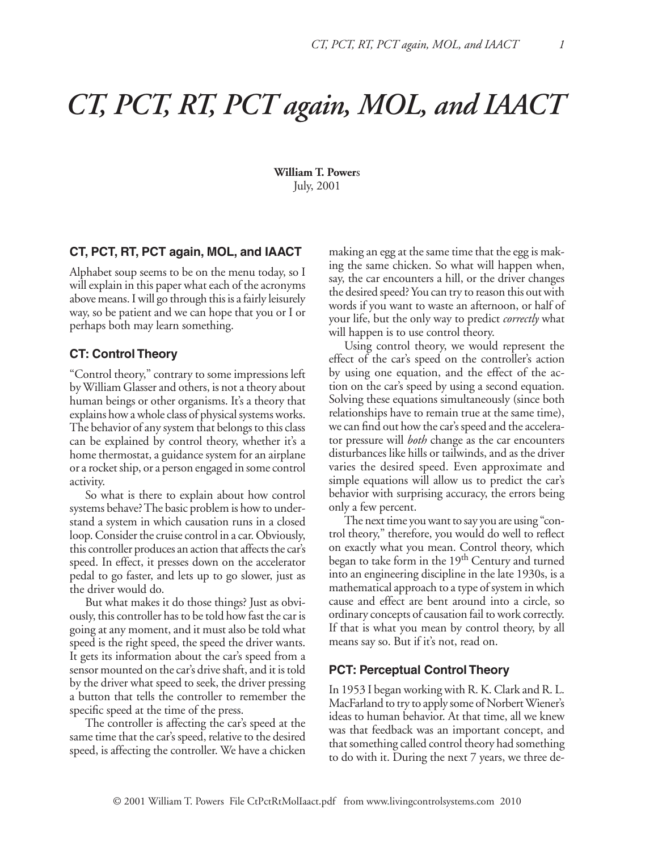# *CT, PCT, RT, PCT again, MOL, and IAACT*

**William T. Power**s July, 2001

## **CT, PCT, RT, PCT again, MOL, and IAACT**

Alphabet soup seems to be on the menu today, so I will explain in this paper what each of the acronyms above means. I will go through this is a fairly leisurely way, so be patient and we can hope that you or I or perhaps both may learn something.

#### **CT: Control Theory**

"Control theory," contrary to some impressions left by William Glasser and others, is not a theory about human beings or other organisms. It's a theory that explains how a whole class of physical systems works. The behavior of any system that belongs to this class can be explained by control theory, whether it's a home thermostat, a guidance system for an airplane or a rocket ship, or a person engaged in some control activity.

So what is there to explain about how control systems behave? The basic problem is how to understand a system in which causation runs in a closed loop. Consider the cruise control in a car. Obviously, this controller produces an action that affects the car's speed. In effect, it presses down on the accelerator pedal to go faster, and lets up to go slower, just as the driver would do.

But what makes it do those things? Just as obviously, this controller has to be told how fast the car is going at any moment, and it must also be told what speed is the right speed, the speed the driver wants. It gets its information about the car's speed from a sensor mounted on the car's drive shaft, and it is told by the driver what speed to seek, the driver pressing a button that tells the controller to remember the specific speed at the time of the press.

The controller is affecting the car's speed at the same time that the car's speed, relative to the desired speed, is affecting the controller. We have a chicken making an egg at the same time that the egg is making the same chicken. So what will happen when, say, the car encounters a hill, or the driver changes the desired speed? You can try to reason this out with words if you want to waste an afternoon, or half of your life, but the only way to predict *correctly* what will happen is to use control theory.

Using control theory, we would represent the effect of the car's speed on the controller's action by using one equation, and the effect of the action on the car's speed by using a second equation. Solving these equations simultaneously (since both relationships have to remain true at the same time), we can find out how the car's speed and the accelerator pressure will *both* change as the car encounters disturbances like hills or tailwinds, and as the driver varies the desired speed. Even approximate and simple equations will allow us to predict the car's behavior with surprising accuracy, the errors being only a few percent.

The next time you want to say you are using "control theory," therefore, you would do well to reflect on exactly what you mean. Control theory, which began to take form in the 19<sup>th</sup> Century and turned into an engineering discipline in the late 1930s, is a mathematical approach to a type of system in which cause and effect are bent around into a circle, so ordinary concepts of causation fail to work correctly. If that is what you mean by control theory, by all means say so. But if it's not, read on.

#### **PCT: Perceptual Control Theory**

In 1953 I began working with R. K. Clark and R. L. MacFarland to try to apply some of Norbert Wiener's ideas to human behavior. At that time, all we knew was that feedback was an important concept, and that something called control theory had something to do with it. During the next 7 years, we three de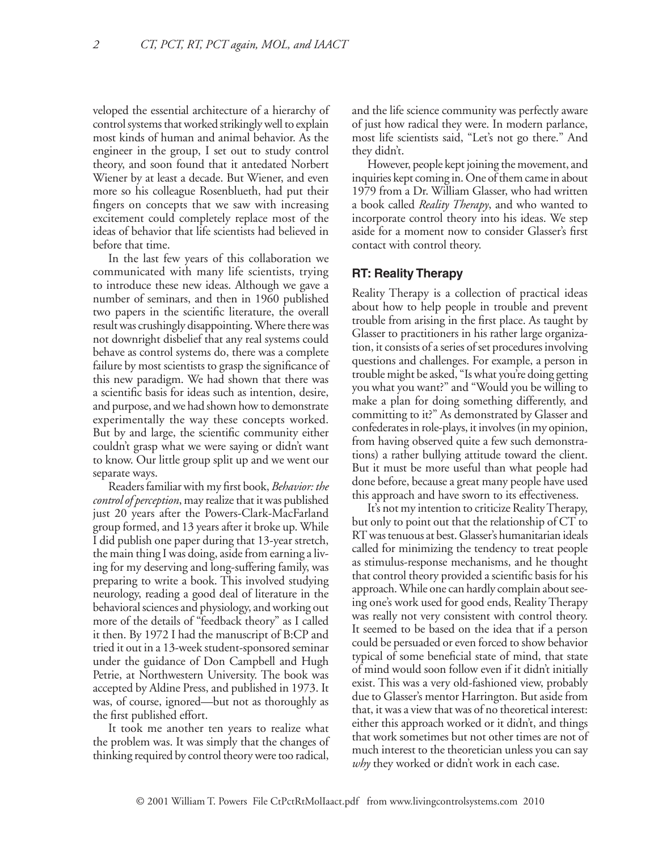veloped the essential architecture of a hierarchy of control systems that worked strikingly well to explain most kinds of human and animal behavior. As the engineer in the group, I set out to study control theory, and soon found that it antedated Norbert Wiener by at least a decade. But Wiener, and even more so his colleague Rosenblueth, had put their fingers on concepts that we saw with increasing excitement could completely replace most of the ideas of behavior that life scientists had believed in before that time.

In the last few years of this collaboration we communicated with many life scientists, trying to introduce these new ideas. Although we gave a number of seminars, and then in 1960 published two papers in the scientific literature, the overall result was crushingly disappointing. Where there was not downright disbelief that any real systems could behave as control systems do, there was a complete failure by most scientists to grasp the significance of this new paradigm. We had shown that there was a scientific basis for ideas such as intention, desire, and purpose, and we had shown how to demonstrate experimentally the way these concepts worked. But by and large, the scientific community either couldn't grasp what we were saying or didn't want to know. Our little group split up and we went our separate ways.

Readers familiar with my first book, *Behavior: the control of perception*, may realize that it was published just 20 years after the Powers-Clark-MacFarland group formed, and 13 years after it broke up. While I did publish one paper during that 13-year stretch, the main thing I was doing, aside from earning a living for my deserving and long-suffering family, was preparing to write a book. This involved studying neurology, reading a good deal of literature in the behavioral sciences and physiology, and working out more of the details of "feedback theory" as I called it then. By 1972 I had the manuscript of B:CP and tried it out in a 13-week student-sponsored seminar under the guidance of Don Campbell and Hugh Petrie, at Northwestern University. The book was accepted by Aldine Press, and published in 1973. It was, of course, ignored—but not as thoroughly as the first published effort.

It took me another ten years to realize what the problem was. It was simply that the changes of thinking required by control theory were too radical,

and the life science community was perfectly aware of just how radical they were. In modern parlance, most life scientists said, "Let's not go there." And they didn't.

However, people kept joining the movement, and inquiries kept coming in. One of them came in about 1979 from a Dr. William Glasser, who had written a book called *Reality Therapy*, and who wanted to incorporate control theory into his ideas. We step aside for a moment now to consider Glasser's first contact with control theory.

#### **RT: Reality Therapy**

Reality Therapy is a collection of practical ideas about how to help people in trouble and prevent trouble from arising in the first place. As taught by Glasser to practitioners in his rather large organization, it consists of a series of set procedures involving questions and challenges. For example, a person in trouble might be asked, "Is what you're doing getting you what you want?" and "Would you be willing to make a plan for doing something differently, and committing to it?" As demonstrated by Glasser and confederates in role-plays, it involves (in my opinion, from having observed quite a few such demonstrations) a rather bullying attitude toward the client. But it must be more useful than what people had done before, because a great many people have used this approach and have sworn to its effectiveness.

It's not my intention to criticize Reality Therapy, but only to point out that the relationship of CT to RT was tenuous at best. Glasser's humanitarian ideals called for minimizing the tendency to treat people as stimulus-response mechanisms, and he thought that control theory provided a scientific basis for his approach. While one can hardly complain about seeing one's work used for good ends, Reality Therapy was really not very consistent with control theory. It seemed to be based on the idea that if a person could be persuaded or even forced to show behavior typical of some beneficial state of mind, that state of mind would soon follow even if it didn't initially exist. This was a very old-fashioned view, probably due to Glasser's mentor Harrington. But aside from that, it was a view that was of no theoretical interest: either this approach worked or it didn't, and things that work sometimes but not other times are not of much interest to the theoretician unless you can say *why* they worked or didn't work in each case.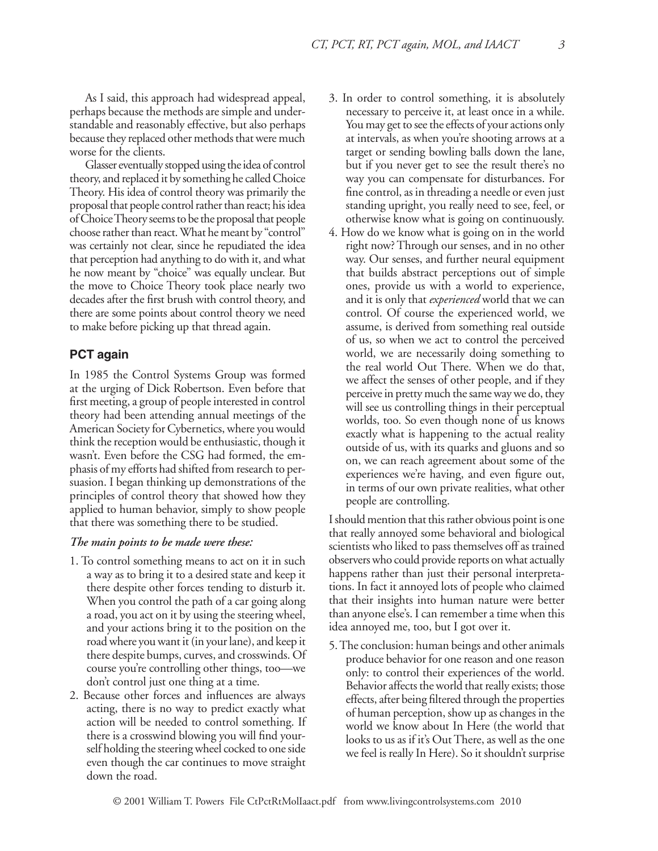As I said, this approach had widespread appeal, perhaps because the methods are simple and understandable and reasonably effective, but also perhaps because they replaced other methods that were much worse for the clients.

Glasser eventually stopped using the idea of control theory, and replaced it by something he called Choice Theory. His idea of control theory was primarily the proposal that people control rather than react; his idea of Choice Theory seems to be the proposal that people choose rather than react. What he meant by "control" was certainly not clear, since he repudiated the idea that perception had anything to do with it, and what he now meant by "choice" was equally unclear. But the move to Choice Theory took place nearly two decades after the first brush with control theory, and there are some points about control theory we need to make before picking up that thread again.

## **PCT again**

In 1985 the Control Systems Group was formed at the urging of Dick Robertson. Even before that first meeting, a group of people interested in control theory had been attending annual meetings of the American Society for Cybernetics, where you would think the reception would be enthusiastic, though it wasn't. Even before the CSG had formed, the emphasis of my efforts had shifted from research to persuasion. I began thinking up demonstrations of the principles of control theory that showed how they applied to human behavior, simply to show people that there was something there to be studied.

#### *The main points to be made were these:*

- 1. To control something means to act on it in such a way as to bring it to a desired state and keep it there despite other forces tending to disturb it. When you control the path of a car going along a road, you act on it by using the steering wheel, and your actions bring it to the position on the road where you want it (in your lane), and keep it there despite bumps, curves, and crosswinds. Of course you're controlling other things, too—we don't control just one thing at a time.
- 2. Because other forces and influences are always acting, there is no way to predict exactly what action will be needed to control something. If there is a crosswind blowing you will find yourself holding the steering wheel cocked to one side even though the car continues to move straight down the road.
- 3. In order to control something, it is absolutely necessary to perceive it, at least once in a while. You may get to see the effects of your actions only at intervals, as when you're shooting arrows at a target or sending bowling balls down the lane, but if you never get to see the result there's no way you can compensate for disturbances. For fine control, as in threading a needle or even just standing upright, you really need to see, feel, or otherwise know what is going on continuously.
- 4. How do we know what is going on in the world right now? Through our senses, and in no other way. Our senses, and further neural equipment that builds abstract perceptions out of simple ones, provide us with a world to experience, and it is only that *experienced* world that we can control. Of course the experienced world, we assume, is derived from something real outside of us, so when we act to control the perceived world, we are necessarily doing something to the real world Out There. When we do that, we affect the senses of other people, and if they perceive in pretty much the same way we do, they will see us controlling things in their perceptual worlds, too. So even though none of us knows exactly what is happening to the actual reality outside of us, with its quarks and gluons and so on, we can reach agreement about some of the experiences we're having, and even figure out, in terms of our own private realities, what other people are controlling.

I should mention that this rather obvious point is one that really annoyed some behavioral and biological scientists who liked to pass themselves off as trained observers who could provide reports on what actually happens rather than just their personal interpretations. In fact it annoyed lots of people who claimed that their insights into human nature were better than anyone else's. I can remember a time when this idea annoyed me, too, but I got over it.

5. The conclusion: human beings and other animals produce behavior for one reason and one reason only: to control their experiences of the world. Behavior affects the world that really exists; those effects, after being filtered through the properties of human perception, show up as changes in the world we know about In Here (the world that looks to us as if it's Out There, as well as the one we feel is really In Here). So it shouldn't surprise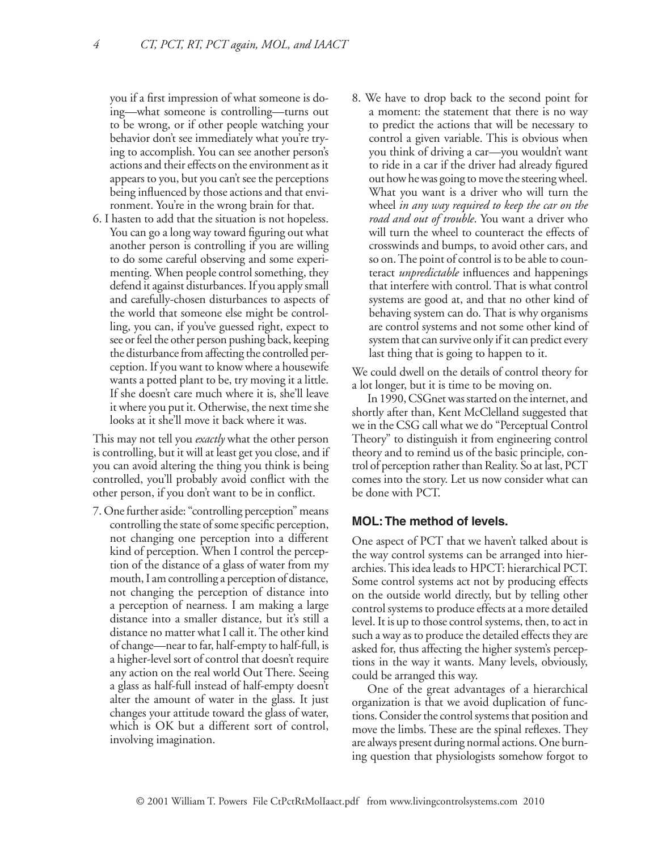you if a first impression of what someone is doing—what someone is controlling—turns out to be wrong, or if other people watching your behavior don't see immediately what you're trying to accomplish. You can see another person's actions and their effects on the environment as it appears to you, but you can't see the perceptions being influenced by those actions and that environment. You're in the wrong brain for that.

6. I hasten to add that the situation is not hopeless. You can go a long way toward figuring out what another person is controlling if you are willing to do some careful observing and some experimenting. When people control something, they defend it against disturbances. If you apply small and carefully-chosen disturbances to aspects of the world that someone else might be controlling, you can, if you've guessed right, expect to see or feel the other person pushing back, keeping the disturbance from affecting the controlled perception. If you want to know where a housewife wants a potted plant to be, try moving it a little. If she doesn't care much where it is, she'll leave it where you put it. Otherwise, the next time she looks at it she'll move it back where it was.

This may not tell you *exactly* what the other person is controlling, but it will at least get you close, and if you can avoid altering the thing you think is being controlled, you'll probably avoid conflict with the other person, if you don't want to be in conflict.

7. One further aside: "controlling perception" means controlling the state of some specific perception, not changing one perception into a different kind of perception. When I control the perception of the distance of a glass of water from my mouth, I am controlling a perception of distance, not changing the perception of distance into a perception of nearness. I am making a large distance into a smaller distance, but it's still a distance no matter what I call it. The other kind of change—near to far, half-empty to half-full, is a higher-level sort of control that doesn't require any action on the real world Out There. Seeing a glass as half-full instead of half-empty doesn't alter the amount of water in the glass. It just changes your attitude toward the glass of water, which is OK but a different sort of control, involving imagination.

8. We have to drop back to the second point for a moment: the statement that there is no way to predict the actions that will be necessary to control a given variable. This is obvious when you think of driving a car—you wouldn't want to ride in a car if the driver had already figured out how he was going to move the steering wheel. What you want is a driver who will turn the wheel *in any way required to keep the car on the road and out of trouble*. You want a driver who will turn the wheel to counteract the effects of crosswinds and bumps, to avoid other cars, and so on. The point of control is to be able to counteract *unpredictable* influences and happenings that interfere with control. That is what control systems are good at, and that no other kind of behaving system can do. That is why organisms are control systems and not some other kind of system that can survive only if it can predict every last thing that is going to happen to it.

We could dwell on the details of control theory for a lot longer, but it is time to be moving on.

In 1990, CSGnet was started on the internet, and shortly after than, Kent McClelland suggested that we in the CSG call what we do "Perceptual Control Theory" to distinguish it from engineering control theory and to remind us of the basic principle, control of perception rather than Reality. So at last, PCT comes into the story. Let us now consider what can be done with PCT.

#### **MOL: The method of levels.**

One aspect of PCT that we haven't talked about is the way control systems can be arranged into hierarchies. This idea leads to HPCT: hierarchical PCT. Some control systems act not by producing effects on the outside world directly, but by telling other control systems to produce effects at a more detailed level. It is up to those control systems, then, to act in such a way as to produce the detailed effects they are asked for, thus affecting the higher system's perceptions in the way it wants. Many levels, obviously, could be arranged this way.

One of the great advantages of a hierarchical organization is that we avoid duplication of functions. Consider the control systems that position and move the limbs. These are the spinal reflexes. They are always present during normal actions. One burning question that physiologists somehow forgot to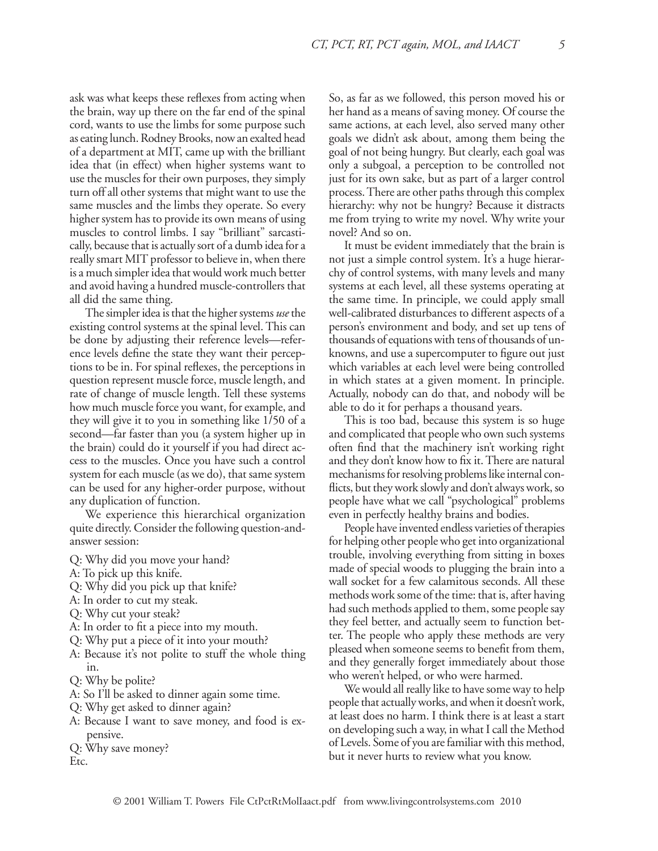ask was what keeps these reflexes from acting when the brain, way up there on the far end of the spinal cord, wants to use the limbs for some purpose such as eating lunch. Rodney Brooks, now an exalted head of a department at MIT, came up with the brilliant idea that (in effect) when higher systems want to use the muscles for their own purposes, they simply turn off all other systems that might want to use the same muscles and the limbs they operate. So every higher system has to provide its own means of using muscles to control limbs. I say "brilliant" sarcastically, because that is actually sort of a dumb idea for a really smart MIT professor to believe in, when there is a much simpler idea that would work much better and avoid having a hundred muscle-controllers that all did the same thing.

The simpler idea is that the higher systems *use* the existing control systems at the spinal level. This can be done by adjusting their reference levels—reference levels define the state they want their perceptions to be in. For spinal reflexes, the perceptions in question represent muscle force, muscle length, and rate of change of muscle length. Tell these systems how much muscle force you want, for example, and they will give it to you in something like 1/50 of a second—far faster than you (a system higher up in the brain) could do it yourself if you had direct access to the muscles. Once you have such a control system for each muscle (as we do), that same system can be used for any higher-order purpose, without any duplication of function.

We experience this hierarchical organization quite directly. Consider the following question-andanswer session:

- Q: Why did you move your hand?
- A: To pick up this knife.
- Q: Why did you pick up that knife?
- A: In order to cut my steak.
- Q: Why cut your steak?
- A: In order to fit a piece into my mouth.
- Q: Why put a piece of it into your mouth?
- A: Because it's not polite to stuff the whole thing in.
- Q: Why be polite?
- A: So I'll be asked to dinner again some time.
- Q: Why get asked to dinner again?
- A: Because I want to save money, and food is expensive.

Q: Why save money? Etc.

So, as far as we followed, this person moved his or her hand as a means of saving money. Of course the same actions, at each level, also served many other goals we didn't ask about, among them being the goal of not being hungry. But clearly, each goal was only a subgoal, a perception to be controlled not just for its own sake, but as part of a larger control process. There are other paths through this complex hierarchy: why not be hungry? Because it distracts me from trying to write my novel. Why write your novel? And so on.

It must be evident immediately that the brain is not just a simple control system. It's a huge hierarchy of control systems, with many levels and many systems at each level, all these systems operating at the same time. In principle, we could apply small well-calibrated disturbances to different aspects of a person's environment and body, and set up tens of thousands of equations with tens of thousands of unknowns, and use a supercomputer to figure out just which variables at each level were being controlled in which states at a given moment. In principle. Actually, nobody can do that, and nobody will be able to do it for perhaps a thousand years.

This is too bad, because this system is so huge and complicated that people who own such systems often find that the machinery isn't working right and they don't know how to fix it. There are natural mechanisms for resolving problems like internal conflicts, but they work slowly and don't always work, so people have what we call "psychological" problems even in perfectly healthy brains and bodies.

People have invented endless varieties of therapies for helping other people who get into organizational trouble, involving everything from sitting in boxes made of special woods to plugging the brain into a wall socket for a few calamitous seconds. All these methods work some of the time: that is, after having had such methods applied to them, some people say they feel better, and actually seem to function better. The people who apply these methods are very pleased when someone seems to benefit from them, and they generally forget immediately about those who weren't helped, or who were harmed.

We would all really like to have some way to help people that actually works, and when it doesn't work, at least does no harm. I think there is at least a start on developing such a way, in what I call the Method of Levels. Some of you are familiar with this method, but it never hurts to review what you know.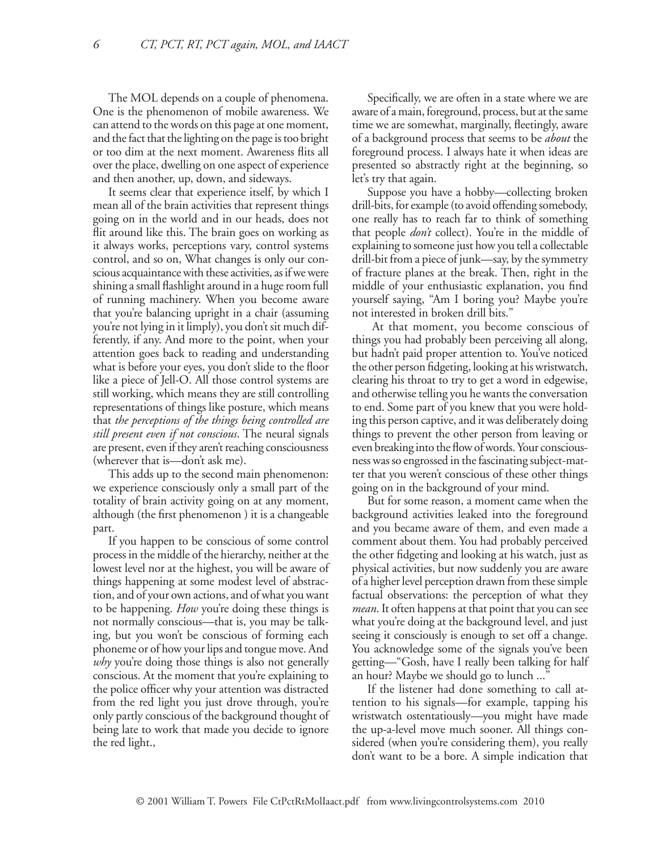The MOL depends on a couple of phenomena. One is the phenomenon of mobile awareness. We can attend to the words on this page at one moment, and the fact that the lighting on the page is too bright or too dim at the next moment. Awareness flits all over the place, dwelling on one aspect of experience and then another, up, down, and sideways.

It seems clear that experience itself, by which I mean all of the brain activities that represent things going on in the world and in our heads, does not flit around like this. The brain goes on working as it always works, perceptions vary, control systems control, and so on, What changes is only our conscious acquaintance with these activities, as if we were shining a small flashlight around in a huge room full of running machinery. When you become aware that you're balancing upright in a chair (assuming you're not lying in it limply), you don't sit much differently, if any. And more to the point, when your attention goes back to reading and understanding what is before your eyes, you don't slide to the floor like a piece of Jell-O. All those control systems are still working, which means they are still controlling representations of things like posture, which means that *the perceptions of the things being controlled are still present even if not conscious*. The neural signals are present, even if they aren't reaching consciousness (wherever that is—don't ask me).

This adds up to the second main phenomenon: we experience consciously only a small part of the totality of brain activity going on at any moment, although (the first phenomenon ) it is a changeable part.

If you happen to be conscious of some control process in the middle of the hierarchy, neither at the lowest level nor at the highest, you will be aware of things happening at some modest level of abstraction, and of your own actions, and of what you want to be happening. *How* you're doing these things is not normally conscious—that is, you may be talking, but you won't be conscious of forming each phoneme or of how your lips and tongue move. And *why* you're doing those things is also not generally conscious. At the moment that you're explaining to the police officer why your attention was distracted from the red light you just drove through, you're only partly conscious of the background thought of being late to work that made you decide to ignore the red light.,

Specifically, we are often in a state where we are aware of a main, foreground, process, but at the same time we are somewhat, marginally, fleetingly, aware of a background process that seems to be *about* the foreground process. I always hate it when ideas are presented so abstractly right at the beginning, so let's try that again.

Suppose you have a hobby—collecting broken drill-bits, for example (to avoid offending somebody, one really has to reach far to think of something that people *don't* collect). You're in the middle of explaining to someone just how you tell a collectable drill-bit from a piece of junk—say, by the symmetry of fracture planes at the break. Then, right in the middle of your enthusiastic explanation, you find yourself saying, "Am I boring you? Maybe you're not interested in broken drill bits."

 At that moment, you become conscious of things you had probably been perceiving all along, but hadn't paid proper attention to. You've noticed the other person fidgeting, looking at his wristwatch, clearing his throat to try to get a word in edgewise, and otherwise telling you he wants the conversation to end. Some part of you knew that you were holding this person captive, and it was deliberately doing things to prevent the other person from leaving or even breaking into the flow of words. Your consciousness was so engrossed in the fascinating subject-matter that you weren't conscious of these other things going on in the background of your mind.

But for some reason, a moment came when the background activities leaked into the foreground and you became aware of them, and even made a comment about them. You had probably perceived the other fidgeting and looking at his watch, just as physical activities, but now suddenly you are aware of a higher level perception drawn from these simple factual observations: the perception of what they *mean*. It often happens at that point that you can see what you're doing at the background level, and just seeing it consciously is enough to set off a change. You acknowledge some of the signals you've been getting—"Gosh, have I really been talking for half an hour? Maybe we should go to lunch ..."

If the listener had done something to call attention to his signals—for example, tapping his wristwatch ostentatiously—you might have made the up-a-level move much sooner. All things considered (when you're considering them), you really don't want to be a bore. A simple indication that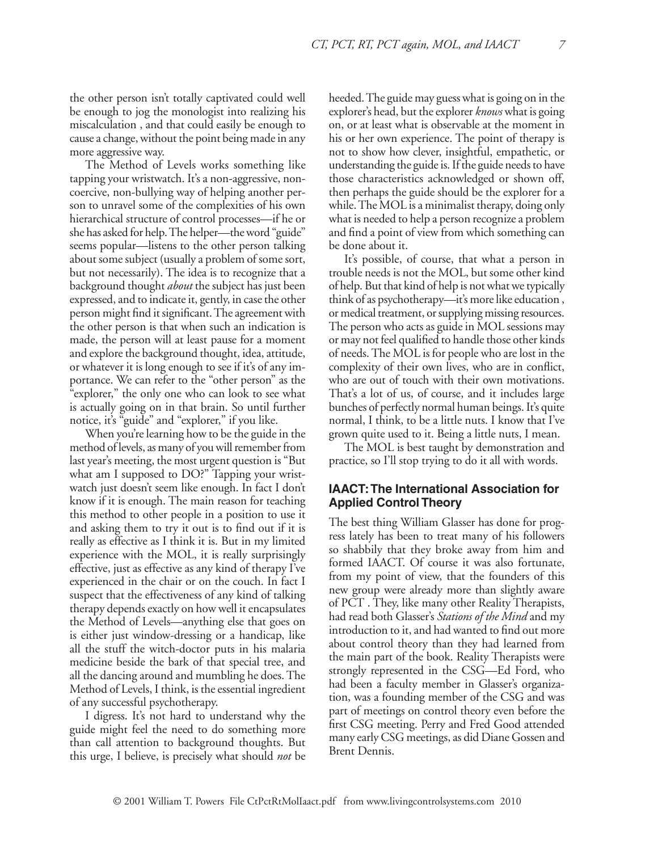the other person isn't totally captivated could well be enough to jog the monologist into realizing his miscalculation , and that could easily be enough to cause a change, without the point being made in any more aggressive way.

The Method of Levels works something like tapping your wristwatch. It's a non-aggressive, noncoercive, non-bullying way of helping another person to unravel some of the complexities of his own hierarchical structure of control processes—if he or she has asked for help. The helper—the word "guide" seems popular—listens to the other person talking about some subject (usually a problem of some sort, but not necessarily). The idea is to recognize that a background thought *about* the subject has just been expressed, and to indicate it, gently, in case the other person might find it significant. The agreement with the other person is that when such an indication is made, the person will at least pause for a moment and explore the background thought, idea, attitude, or whatever it is long enough to see if it's of any importance. We can refer to the "other person" as the "explorer," the only one who can look to see what is actually going on in that brain. So until further notice, it's "guide" and "explorer," if you like.

When you're learning how to be the guide in the method of levels, as many of you will remember from last year's meeting, the most urgent question is "But what am I supposed to DO?" Tapping your wristwatch just doesn't seem like enough. In fact I don't know if it is enough. The main reason for teaching this method to other people in a position to use it and asking them to try it out is to find out if it is really as effective as I think it is. But in my limited experience with the MOL, it is really surprisingly effective, just as effective as any kind of therapy I've experienced in the chair or on the couch. In fact I suspect that the effectiveness of any kind of talking therapy depends exactly on how well it encapsulates the Method of Levels—anything else that goes on is either just window-dressing or a handicap, like all the stuff the witch-doctor puts in his malaria medicine beside the bark of that special tree, and all the dancing around and mumbling he does. The Method of Levels, I think, is the essential ingredient of any successful psychotherapy.

I digress. It's not hard to understand why the guide might feel the need to do something more than call attention to background thoughts. But this urge, I believe, is precisely what should *not* be heeded. The guide may guess what is going on in the explorer's head, but the explorer *knows* what is going on, or at least what is observable at the moment in his or her own experience. The point of therapy is not to show how clever, insightful, empathetic, or understanding the guide is. If the guide needs to have those characteristics acknowledged or shown off, then perhaps the guide should be the explorer for a while. The MOL is a minimalist therapy, doing only what is needed to help a person recognize a problem and find a point of view from which something can be done about it.

It's possible, of course, that what a person in trouble needs is not the MOL, but some other kind of help. But that kind of help is not what we typically think of as psychotherapy—it's more like education , or medical treatment, or supplying missing resources. The person who acts as guide in MOL sessions may or may not feel qualified to handle those other kinds of needs. The MOL is for people who are lost in the complexity of their own lives, who are in conflict, who are out of touch with their own motivations. That's a lot of us, of course, and it includes large bunches of perfectly normal human beings. It's quite normal, I think, to be a little nuts. I know that I've grown quite used to it. Being a little nuts, I mean.

The MOL is best taught by demonstration and practice, so I'll stop trying to do it all with words.

# **IAACT: The International Association for Applied Control Theory**

The best thing William Glasser has done for progress lately has been to treat many of his followers so shabbily that they broke away from him and formed IAACT. Of course it was also fortunate, from my point of view, that the founders of this new group were already more than slightly aware of PCT . They, like many other Reality Therapists, had read both Glasser's *Stations of the Mind* and my introduction to it, and had wanted to find out more about control theory than they had learned from the main part of the book. Reality Therapists were strongly represented in the CSG—Ed Ford, who had been a faculty member in Glasser's organization, was a founding member of the CSG and was part of meetings on control theory even before the first CSG meeting. Perry and Fred Good attended many early CSG meetings, as did Diane Gossen and Brent Dennis.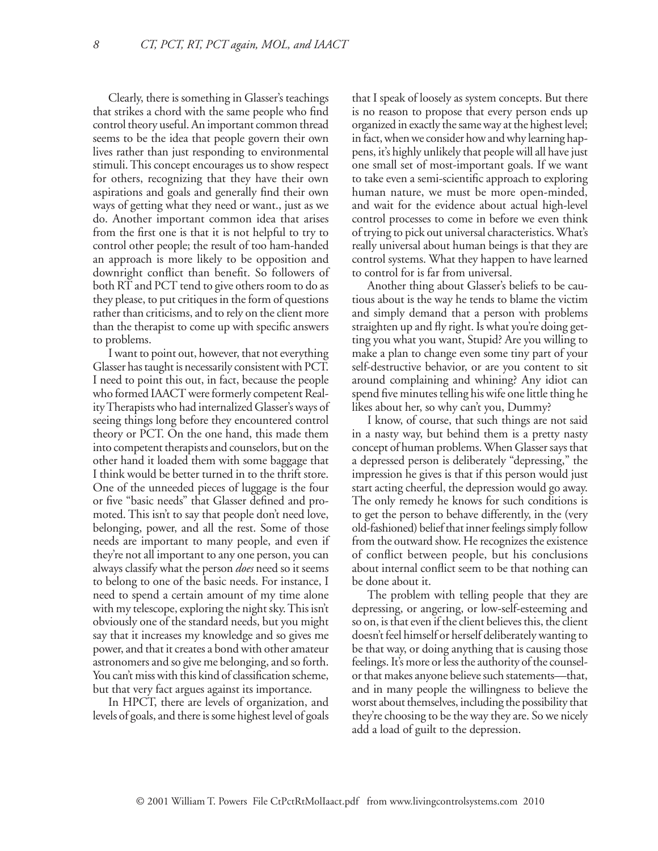Clearly, there is something in Glasser's teachings that strikes a chord with the same people who find control theory useful. An important common thread seems to be the idea that people govern their own lives rather than just responding to environmental stimuli. This concept encourages us to show respect for others, recognizing that they have their own aspirations and goals and generally find their own ways of getting what they need or want., just as we do. Another important common idea that arises from the first one is that it is not helpful to try to control other people; the result of too ham-handed an approach is more likely to be opposition and downright conflict than benefit. So followers of both RT and PCT tend to give others room to do as they please, to put critiques in the form of questions rather than criticisms, and to rely on the client more than the therapist to come up with specific answers to problems.

I want to point out, however, that not everything Glasser has taught is necessarily consistent with PCT. I need to point this out, in fact, because the people who formed IAACT were formerly competent Reality Therapists who had internalized Glasser's ways of seeing things long before they encountered control theory or PCT. On the one hand, this made them into competent therapists and counselors, but on the other hand it loaded them with some baggage that I think would be better turned in to the thrift store. One of the unneeded pieces of luggage is the four or five "basic needs" that Glasser defined and promoted. This isn't to say that people don't need love, belonging, power, and all the rest. Some of those needs are important to many people, and even if they're not all important to any one person, you can always classify what the person *does* need so it seems to belong to one of the basic needs. For instance, I need to spend a certain amount of my time alone with my telescope, exploring the night sky. This isn't obviously one of the standard needs, but you might say that it increases my knowledge and so gives me power, and that it creates a bond with other amateur astronomers and so give me belonging, and so forth. You can't miss with this kind of classification scheme, but that very fact argues against its importance.

In HPCT, there are levels of organization, and levels of goals, and there is some highest level of goals that I speak of loosely as system concepts. But there is no reason to propose that every person ends up organized in exactly the same way at the highest level; in fact, when we consider how and why learning happens, it's highly unlikely that people will all have just one small set of most-important goals. If we want to take even a semi-scientific approach to exploring human nature, we must be more open-minded, and wait for the evidence about actual high-level control processes to come in before we even think of trying to pick out universal characteristics. What's really universal about human beings is that they are control systems. What they happen to have learned to control for is far from universal.

Another thing about Glasser's beliefs to be cautious about is the way he tends to blame the victim and simply demand that a person with problems straighten up and fly right. Is what you're doing getting you what you want, Stupid? Are you willing to make a plan to change even some tiny part of your self-destructive behavior, or are you content to sit around complaining and whining? Any idiot can spend five minutes telling his wife one little thing he likes about her, so why can't you, Dummy?

I know, of course, that such things are not said in a nasty way, but behind them is a pretty nasty concept of human problems. When Glasser says that a depressed person is deliberately "depressing," the impression he gives is that if this person would just start acting cheerful, the depression would go away. The only remedy he knows for such conditions is to get the person to behave differently, in the (very old-fashioned) belief that inner feelings simply follow from the outward show. He recognizes the existence of conflict between people, but his conclusions about internal conflict seem to be that nothing can be done about it.

The problem with telling people that they are depressing, or angering, or low-self-esteeming and so on, is that even if the client believes this, the client doesn't feel himself or herself deliberately wanting to be that way, or doing anything that is causing those feelings. It's more or less the authority of the counselor that makes anyone believe such statements—that, and in many people the willingness to believe the worst about themselves, including the possibility that they're choosing to be the way they are. So we nicely add a load of guilt to the depression.